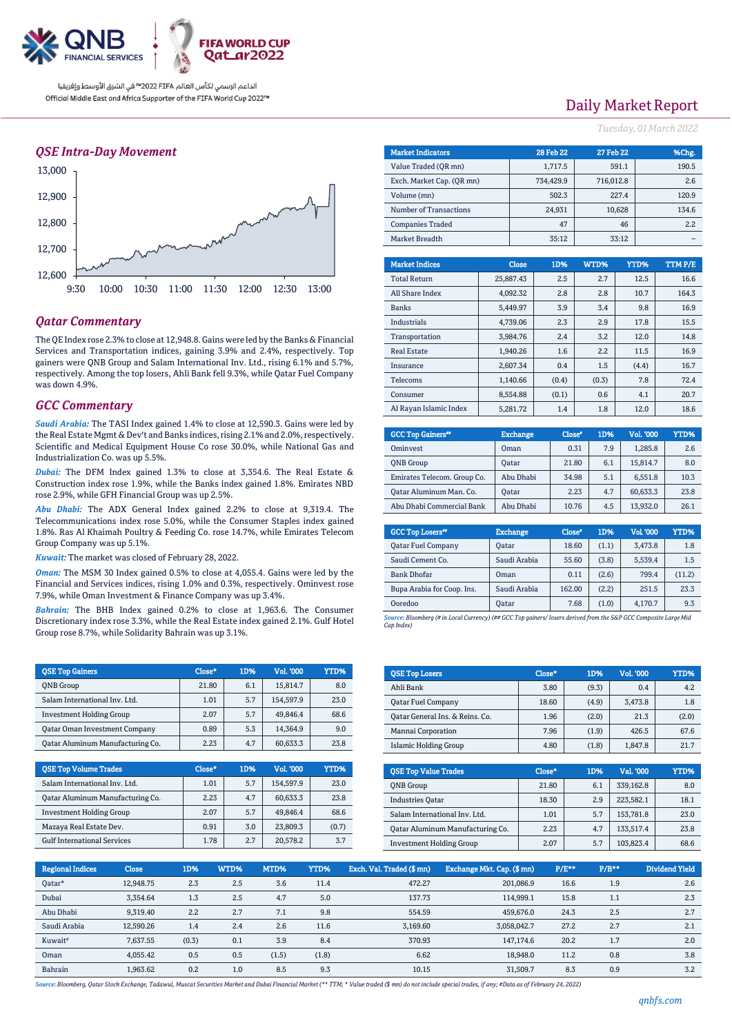

### *QSE Intra-Day Movement*



### *Qatar Commentary*

The QE Index rose 2.3% to close at 12,948.8. Gains were led by the Banks & Financial Services and Transportation indices, gaining 3.9% and 2.4%, respectively. Top gainers were QNB Group and Salam International Inv. Ltd., rising 6.1% and 5.7%, respectively. Among the top losers, Ahli Bank fell 9.3%, while Qatar Fuel Company was down 4.9%.

#### *GCC Commentary*

*Saudi Arabia:* The TASI Index gained 1.4% to close at 12,590.3. Gains were led by the Real Estate Mgmt & Dev't and Banks indices, rising 2.1% and 2.0%, respectively. Scientific and Medical Equipment House Co rose 30.0%, while National Gas and Industrialization Co. was up 5.5%.

*Dubai:* The DFM Index gained 1.3% to close at 3,354.6. The Real Estate & Construction index rose 1.9%, while the Banks index gained 1.8%. Emirates NBD rose 2.9%, while GFH Financial Group was up 2.5%.

*Abu Dhabi:* The ADX General Index gained 2.2% to close at 9,319.4. The Telecommunications index rose 5.0%, while the Consumer Staples index gained 1.8%. Ras Al Khaimah Poultry & Feeding Co. rose 14.7%, while Emirates Telecom Group Company was up 5.1%.

*Kuwait:* The market was closed of February 28, 2022.

*Oman:* The MSM 30 Index gained 0.5% to close at 4,055.4. Gains were led by the Financial and Services indices, rising 1.0% and 0.3%, respectively. Ominvest rose 7.9%, while Oman Investment & Finance Company was up 3.4%.

*Bahrain:* The BHB Index gained 0.2% to close at 1,963.6. The Consumer Discretionary index rose 3.3%, while the Real Estate index gained 2.1%. Gulf Hotel Group rose 8.7%, while Solidarity Bahrain was up 3.1%.

| <b>OSE Top Gainers</b>               | Close* | 1D% | Vol. '000 | YTD% |
|--------------------------------------|--------|-----|-----------|------|
| <b>ONB</b> Group                     | 21.80  | 6.1 | 15.814.7  | 8.0  |
| Salam International Inv. Ltd.        | 1.01   | 5.7 | 154,597.9 | 23.0 |
| <b>Investment Holding Group</b>      | 2.07   | 5.7 | 49.846.4  | 68.6 |
| <b>Qatar Oman Investment Company</b> | 0.89   | 5.3 | 14.364.9  | 9.0  |
| Oatar Aluminum Manufacturing Co.     | 2.23   | 4.7 | 60,633.3  | 23.8 |

| <b>OSE Top Volume Trades</b>            | Close* | 1D% | <b>Vol. '000</b> | YTD%  |
|-----------------------------------------|--------|-----|------------------|-------|
| Salam International Inv. Ltd.           | 1.01   | 5.7 | 154.597.9        | 23.0  |
| <b>Qatar Aluminum Manufacturing Co.</b> | 2.23   | 4.7 | 60.633.3         | 23.8  |
| <b>Investment Holding Group</b>         | 2.07   | 5.7 | 49.846.4         | 68.6  |
| Mazaya Real Estate Dev.                 | 0.91   | 3.0 | 23,809.3         | (0.7) |
| <b>Gulf International Services</b>      | 1.78   | 2.7 | 20,578.2         | 3.7   |

| <b>Daily Market Report</b> |  |
|----------------------------|--|
|                            |  |

*Tuesday, 01March2022*

| <b>Market Indicators</b>  |  |           | <b>28 Feb 22</b> | <b>27 Feb 22</b> |        |       | %Chg.      |  |
|---------------------------|--|-----------|------------------|------------------|--------|-------|------------|--|
| Value Traded (OR mn)      |  |           | 1.717.5          |                  | 591.1  |       | 190.5      |  |
| Exch. Market Cap. (OR mn) |  |           | 734,429.9        | 716,012.8        |        |       | 2.6        |  |
| Volume (mn)               |  |           | 502.3            |                  | 227.4  |       | 120.9      |  |
| Number of Transactions    |  |           | 24,931           |                  | 10,628 | 134.6 |            |  |
| <b>Companies Traded</b>   |  |           | 47               |                  | 46     |       | 2.2        |  |
| Market Breadth            |  |           | 35:12            |                  | 33:12  |       | -          |  |
|                           |  |           |                  |                  |        |       |            |  |
| <b>Market Indices</b>     |  | Close     | 1D%              | WTD%             | YTD%   |       | TTM P/E    |  |
| <b>Total Return</b>       |  | 25,887.43 | 2.5              | 2.7              |        | 12.5  | 16.6       |  |
| All Chara Indon           |  | 100222    | 20               | 20               |        | 107   | $1C_A$ $7$ |  |

| All Share Index        | 4,092.32 | 2.8   | 2.8   | 10.7  | 164.3 |
|------------------------|----------|-------|-------|-------|-------|
| <b>Banks</b>           | 5.449.97 | 3.9   | 3.4   | 9.8   | 16.9  |
| Industrials            | 4,739.06 | 2.3   | 2.9   | 17.8  | 15.5  |
| Transportation         | 3.984.76 | 2.4   | 3.2   | 12.0  | 14.8  |
| <b>Real Estate</b>     | 1.940.26 | 1.6   | 2.2   | 11.5  | 16.9  |
| Insurance              | 2.607.34 | 0.4   | 1.5   | (4.4) | 16.7  |
| Telecoms               | 1.140.66 | (0.4) | (0.3) | 7.8   | 72.4  |
| Consumer               | 8.554.88 | (0.1) | 0.6   | 4.1   | 20.7  |
| Al Rayan Islamic Index | 5.281.72 | 1.4   | 1.8   | 12.0  | 18.6  |

| <b>GCC Top Gainers</b> "    | <b>Exchange</b> | Close* | 1D% | Vol. '000 | YTD% |
|-----------------------------|-----------------|--------|-----|-----------|------|
| Ominyest                    | Oman            | 0.31   | 7.9 | 1,285.8   | 2.6  |
| <b>ONB</b> Group            | Oatar           | 21.80  | 6.1 | 15.814.7  | 8.0  |
| Emirates Telecom. Group Co. | Abu Dhabi       | 34.98  | 5.1 | 6.551.8   | 10.3 |
| Qatar Aluminum Man. Co.     | Oatar           | 2.23   | 4.7 | 60.633.3  | 23.8 |
| Abu Dhabi Commercial Bank   | Abu Dhabi       | 10.76  | 4.5 | 13.932.0  | 26.1 |

| <b>GCC Top Losers</b> "    | <b>Exchange</b> | Close <sup>®</sup> | 1D%   | <b>Vol.'000</b> | YTD%   |
|----------------------------|-----------------|--------------------|-------|-----------------|--------|
| <b>Oatar Fuel Company</b>  | Oatar           | 18.60              | (1.1) | 3,473.8         | 1.8    |
| Saudi Cement Co.           | Saudi Arabia    | 55.60              | (3.8) | 5.539.4         | 1.5    |
| <b>Bank Dhofar</b>         | Oman            | 0.11               | (2.6) | 799.4           | (11.2) |
| Bupa Arabia for Coop. Ins. | Saudi Arabia    | 162.00             | (2.2) | 251.5           | 23.3   |
| Ooredoo                    | Oatar           | 7.68               | (1.0) | 4.170.7         | 9.3    |

*Source: Bloomberg (# in Local Currency) (## GCC Top gainers/ losers derived from the S&P GCC Composite Large Mid Cap Index)*

| <b>QSE Top Losers</b>           | Close* | 1D%   | <b>Vol. '000</b> | YTD%  |
|---------------------------------|--------|-------|------------------|-------|
| Ahli Bank                       | 3.80   | (9.3) | 0.4              | 4.2.  |
| <b>Qatar Fuel Company</b>       | 18.60  | (4.9) | 3.473.8          | 1.8   |
| Oatar General Ins. & Reins. Co. | 1.96   | (2.0) | 21.3             | (2.0) |
| Mannai Corporation              | 7.96   | (1.9) | 426.5            | 67.6  |
| Islamic Holding Group           | 4.80   | (1.8) | 1,847.8          | 217   |

| <b>OSE Top Value Trades</b>      | Close* | 1D% | Val. '000 | <b>YTD%</b> |
|----------------------------------|--------|-----|-----------|-------------|
| <b>ONB</b> Group                 | 21.80  | 6.1 | 339,162.8 | 8.0         |
| <b>Industries Oatar</b>          | 18.30  | 2.9 | 223.582.1 | 18.1        |
| Salam International Inv. Ltd.    | 1.01   | 5.7 | 153,781.8 | 23.0        |
| Qatar Aluminum Manufacturing Co. | 2.23   | 4.7 | 133,517.4 | 23.8        |
| <b>Investment Holding Group</b>  | 2.07   | 5.7 | 103,823.4 | 68.6        |

| <b>Regional Indices</b> | <b>Close</b> | 1D%   | WTD% | MTD%  | YTD%  | Exch. Val. Traded (\$ mn) | Exchange Mkt. Cap. (\$mn) | $P/E***$ | $P/B**$ | Dividend Yield |
|-------------------------|--------------|-------|------|-------|-------|---------------------------|---------------------------|----------|---------|----------------|
| Qatar*                  | 12.948.75    | 2.3   | 2.5  | 3.6   | 11.4  | 472.27                    | 201.086.9                 | 16.6     | 1.9     | 2.6            |
| Dubai                   | 3.354.64     | 1.3   | 2.5  | 4.7   | 5.0   | 137.73                    | 114.999.1                 | 15.8     | 1.1     | 2.3            |
| Abu Dhabi               | 9,319.40     | 2.2   | 2.7  | 7.1   | 9.8   | 554.59                    | 459.676.0                 | 24.3     | 2.5     | 2.7            |
| Saudi Arabia            | 12.590.26    | 1.4   | 2.4  | 2.6   | 11.6  | 3.169.60                  | 3,058,042.7               | 27.2     | 2.7     | 2.1            |
| Kuwait <sup>#</sup>     | 7,637.55     | (0.3) | 0.1  | 3.9   | 8.4   | 370.93                    | 147.174.6                 | 20.2     | 1.7     | 2.0            |
| Oman                    | 4.055.42     | 0.5   | 0.5  | (1.5) | (1.8) | 6.62                      | 18.948.0                  | 11.2     | 0.8     | 3.8            |
| Bahrain                 | 1.963.62     | 0.2   | 1.0  | 8.5   | 9.3   | 10.15                     | 31.509.7                  | 8.3      | 0.9     | 3.2            |

*Source: Bloomberg, Qatar Stock Exchange, Tadawul, Muscat Securities Market and Dubai Financial Market (\*\* TTM; \* Value traded (\$ mn) do not include special trades, if any; #Data as of February 24, 2022)*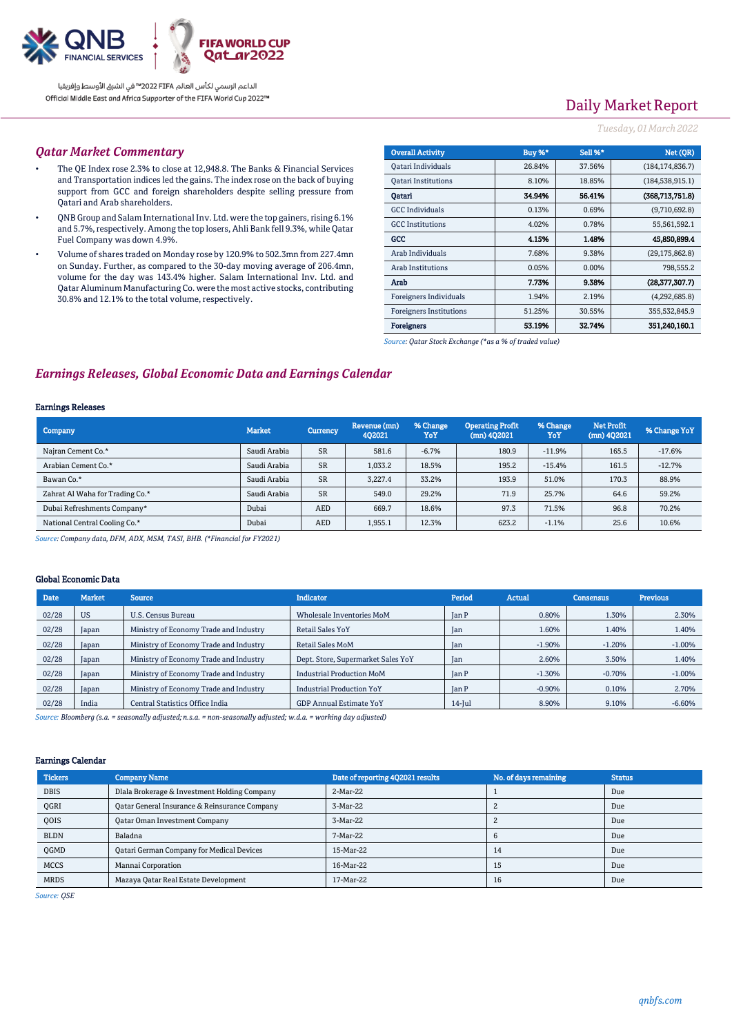

# Daily Market Report

### *Tuesday, 01March2022*

### *Qatar Market Commentary*

- The QE Index rose 2.3% to close at 12,948.8. The Banks & Financial Services and Transportation indices led the gains. The index rose on the back of buying support from GCC and foreign shareholders despite selling pressure from Qatari and Arab shareholders.
- QNB Group and Salam International Inv. Ltd. were the top gainers, rising 6.1% and 5.7%, respectively. Among the top losers, Ahli Bank fell 9.3%, while Qatar Fuel Company was down 4.9%.
- Volume of shares traded on Monday rose by 120.9% to 502.3mn from 227.4mn on Sunday. Further, as compared to the 30-day moving average of 206.4mn, volume for the day was 143.4% higher. Salam International Inv. Ltd. and Qatar Aluminum Manufacturing Co. were the most active stocks, contributing 30.8% and 12.1% to the total volume, respectively.

| <b>Overall Activity</b>        | Buy %* | Sell %* | Net (QR)          |
|--------------------------------|--------|---------|-------------------|
| Qatari Individuals             | 26.84% | 37.56%  | (184, 174, 836.7) |
| <b>Oatari Institutions</b>     | 8.10%  | 18.85%  | (184, 538, 915.1) |
| Oatari                         | 34.94% | 56.41%  | (368,713,751.8)   |
| <b>GCC</b> Individuals         | 0.13%  | 0.69%   | (9,710,692.8)     |
| <b>GCC</b> Institutions        | 4.02%  | 0.78%   | 55,561,592.1      |
| GCC                            | 4.15%  | 1.48%   | 45,850,899.4      |
| Arab Individuals               | 7.68%  | 9.38%   | (29, 175, 862.8)  |
| <b>Arab Institutions</b>       | 0.05%  | 0.00%   | 798,555.2         |
| Arab                           | 7.73%  | 9.38%   | (28,377,307.7)    |
| Foreigners Individuals         | 1.94%  | 2.19%   | (4,292,685.8)     |
| <b>Foreigners Institutions</b> | 51.25% | 30.55%  | 355,532,845.9     |
| <b>Foreigners</b>              | 53.19% | 32.74%  | 351.240.160.1     |

*Source: Qatar Stock Exchange (\*as a % of traded value)*

## *Earnings Releases, Global Economic Data and Earnings Calendar*

#### Earnings Releases

| Company                         | <b>Market</b> | <b>Currency</b> | Revenue (mn)<br>402021 | % Change<br>YoY | <b>Operating Profit</b><br>$(mn)$ 402021 | % Change<br>YoY | Net Profit<br>(mn) 402021 | % Change YoY |
|---------------------------------|---------------|-----------------|------------------------|-----------------|------------------------------------------|-----------------|---------------------------|--------------|
| Najran Cement Co.*              | Saudi Arabia  | <b>SR</b>       | 581.6                  | $-6.7%$         | 180.9                                    | $-11.9%$        | 165.5                     | $-17.6%$     |
| Arabian Cement Co.*             | Saudi Arabia  | <b>SR</b>       | 1,033.2                | 18.5%           | 195.2                                    | $-15.4%$        | 161.5                     | $-12.7%$     |
| Bawan Co.*                      | Saudi Arabia  | <b>SR</b>       | 3.227.4                | 33.2%           | 193.9                                    | 51.0%           | 170.3                     | 88.9%        |
| Zahrat Al Waha for Trading Co.* | Saudi Arabia  | <b>SR</b>       | 549.0                  | 29.2%           | 71.9                                     | 25.7%           | 64.6                      | 59.2%        |
| Dubai Refreshments Company*     | Dubai         | <b>AED</b>      | 669.7                  | 18.6%           | 97.3                                     | 71.5%           | 96.8                      | 70.2%        |
| National Central Cooling Co.*   | Dubai         | <b>AED</b>      | 1,955.1                | 12.3%           | 623.2                                    | $-1.1%$         | 25.6                      | 10.6%        |

*Source: Company data, DFM, ADX, MSM, TASI, BHB. (\*Financial for FY2021)*

#### Global Economic Data

| Date  | <b>Market</b> | <b>Source</b>                          | <b>Indicator</b>                   | Period       | <b>Actual</b> | <b>Consensus</b> | <b>Previous</b> |
|-------|---------------|----------------------------------------|------------------------------------|--------------|---------------|------------------|-----------------|
| 02/28 | <b>US</b>     | U.S. Census Bureau                     | Wholesale Inventories MoM          | <b>Tan P</b> | 0.80%         | 1.30%            | 2.30%           |
| 02/28 | Japan         | Ministry of Economy Trade and Industry | Retail Sales YoY                   | <b>Tan</b>   | 1.60%         | 1.40%            | 1.40%           |
| 02/28 | Japan         | Ministry of Economy Trade and Industry | <b>Retail Sales MoM</b>            | Jan          | $-1.90%$      | $-1.20%$         | $-1.00\%$       |
| 02/28 | Japan         | Ministry of Economy Trade and Industry | Dept. Store, Supermarket Sales YoY | <b>Tan</b>   | 2.60%         | 3.50%            | 1.40%           |
| 02/28 | Japan         | Ministry of Economy Trade and Industry | <b>Industrial Production MoM</b>   | <b>Tan P</b> | $-1.30%$      | $-0.70%$         | $-1.00\%$       |
| 02/28 | Japan         | Ministry of Economy Trade and Industry | <b>Industrial Production YoY</b>   | <b>Tan P</b> | $-0.90%$      | 0.10%            | 2.70%           |
| 02/28 | India         | Central Statistics Office India        | <b>GDP Annual Estimate YoY</b>     | $14$ -Jul    | 8.90%         | 9.10%            | $-6.60%$        |

*Source: Bloomberg (s.a. = seasonally adjusted; n.s.a. = non-seasonally adjusted; w.d.a. = working day adjusted)*

#### Earnings Calendar

| <b>Tickers</b> | <b>Company Name</b>                           | Date of reporting 4Q2021 results | No. of days remaining | <b>Status</b> |
|----------------|-----------------------------------------------|----------------------------------|-----------------------|---------------|
| <b>DBIS</b>    | Dlala Brokerage & Investment Holding Company  | 2-Mar-22                         |                       | Due           |
| <b>OGRI</b>    | Qatar General Insurance & Reinsurance Company | 3-Mar-22                         |                       | Due           |
| <b>OOIS</b>    | <b>Qatar Oman Investment Company</b>          | 3-Mar-22                         |                       | Due           |
| <b>BLDN</b>    | Baladna                                       | 7-Mar-22                         |                       | Due           |
| <b>OGMD</b>    | Qatari German Company for Medical Devices     | 15-Mar-22                        | 14                    | Due           |
| <b>MCCS</b>    | Mannai Corporation                            | 16-Mar-22                        | 15                    | Due           |
| <b>MRDS</b>    | Mazaya Qatar Real Estate Development          | 17-Mar-22                        | 16                    | Due           |

*Source: QSE*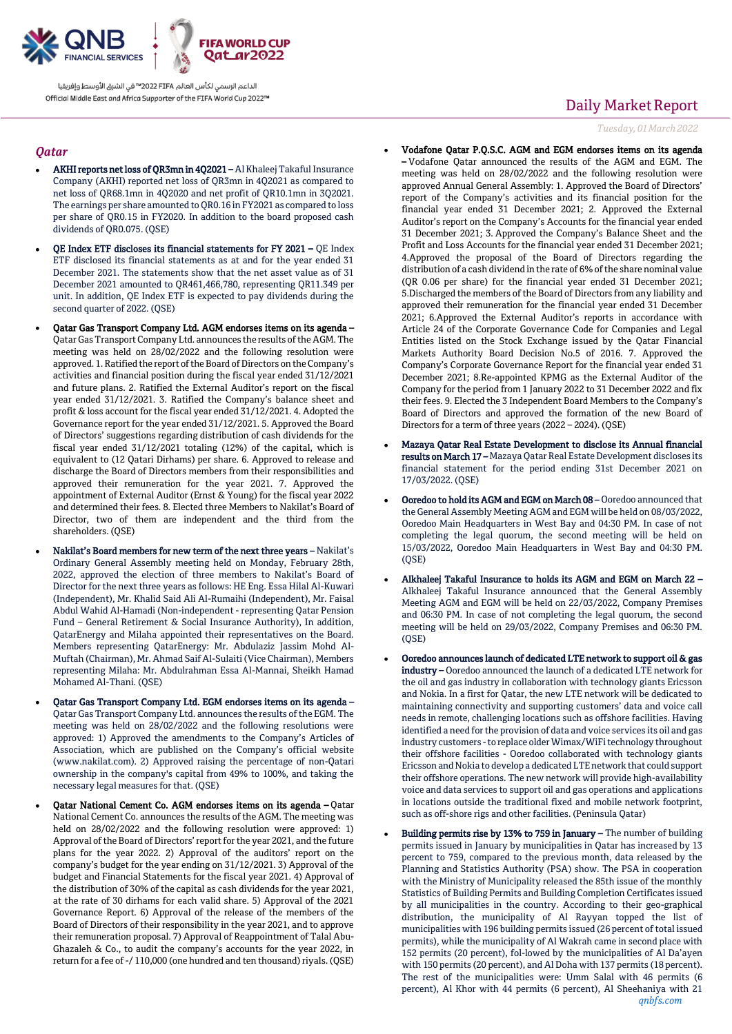

### *Qatar*

- AKHI reports net loss of QR3mn in 4Q2021 Al Khaleej Takaful Insurance Company (AKHI) reported net loss of QR3mn in 4Q2021 as compared to net loss of QR68.1mn in 4Q2020 and net profit of QR10.1mn in 3Q2021. The earnings per share amounted to QR0.16 in FY2021 as compared to loss per share of QR0.15 in FY2020. In addition to the board proposed cash dividends of QR0.075. (QSE)
- QE Index ETF discloses its financial statements for FY 2021 QE Index ETF disclosed its financial statements as at and for the year ended 31 December 2021. The statements show that the net asset value as of 31 December 2021 amounted to QR461,466,780, representing QR11.349 per unit. In addition, QE Index ETF is expected to pay dividends during the second quarter of 2022. (QSE)
- Qatar Gas Transport Company Ltd. AGM endorses items on its agenda Qatar Gas Transport Company Ltd. announces the results of the AGM. The meeting was held on 28/02/2022 and the following resolution were approved. 1. Ratified the report of the Board of Directors on the Company's activities and financial position during the fiscal year ended 31/12/2021 and future plans. 2. Ratified the External Auditor's report on the fiscal year ended 31/12/2021. 3. Ratified the Company's balance sheet and profit & loss account for the fiscal year ended 31/12/2021. 4. Adopted the Governance report for the year ended 31/12/2021. 5. Approved the Board of Directors' suggestions regarding distribution of cash dividends for the fiscal year ended 31/12/2021 totaling (12%) of the capital, which is equivalent to (12 Qatari Dirhams) per share. 6. Approved to release and discharge the Board of Directors members from their responsibilities and approved their remuneration for the year 2021. 7. Approved the appointment of External Auditor (Ernst & Young) for the fiscal year 2022 and determined their fees. 8. Elected three Members to Nakilat's Board of Director, two of them are independent and the third from the shareholders. (QSE)
- Nakilat's Board members for new term of the next three years Nakilat's Ordinary General Assembly meeting held on Monday, February 28th, 2022, approved the election of three members to Nakilat's Board of Director for the next three years as follows: HE Eng. Essa Hilal Al-Kuwari (Independent), Mr. Khalid Said Ali Al-Rumaihi (Independent), Mr. Faisal Abdul Wahid Al-Hamadi (Non-independent - representing Qatar Pension Fund – General Retirement & Social Insurance Authority), In addition, QatarEnergy and Milaha appointed their representatives on the Board. Members representing QatarEnergy: Mr. Abdulaziz Jassim Mohd Al-Muftah (Chairman), Mr. Ahmad Saif Al-Sulaiti (Vice Chairman), Members representing Milaha: Mr. Abdulrahman Essa Al-Mannai, Sheikh Hamad Mohamed Al-Thani. (QSE)
- Qatar Gas Transport Company Ltd. EGM endorses items on its agenda Qatar Gas Transport Company Ltd. announces the results of the EGM. The meeting was held on 28/02/2022 and the following resolutions were approved: 1) Approved the amendments to the Company's Articles of Association, which are published on the Company's official website (www.nakilat.com). 2) Approved raising the percentage of non-Qatari ownership in the company's capital from 49% to 100%, and taking the necessary legal measures for that. (QSE)
- Qatar National Cement Co. AGM endorses items on its agenda Qatar National Cement Co. announces the results of the AGM. The meeting was held on 28/02/2022 and the following resolution were approved: 1) Approval of the Board of Directors' report for the year 2021, and the future plans for the year 2022. 2) Approval of the auditors' report on the company's budget for the year ending on 31/12/2021. 3) Approval of the budget and Financial Statements for the fiscal year 2021. 4) Approval of the distribution of 30% of the capital as cash dividends for the year 2021, at the rate of 30 dirhams for each valid share. 5) Approval of the 2021 Governance Report. 6) Approval of the release of the members of the Board of Directors of their responsibility in the year 2021, and to approve their remuneration proposal. 7) Approval of Reappointment of Talal Abu-Ghazaleh & Co., to audit the company's accounts for the year 2022, in return for a fee of -/ 110,000 (one hundred and ten thousand) riyals. (QSE)

# Daily Market Report

*Tuesday, 01March2022*

- Vodafone Qatar P.Q.S.C. AGM and EGM endorses items on its agenda – Vodafone Qatar announced the results of the AGM and EGM. The meeting was held on 28/02/2022 and the following resolution were approved Annual General Assembly: 1. Approved the Board of Directors' report of the Company's activities and its financial position for the financial year ended 31 December 2021; 2. Approved the External Auditor's report on the Company's Accounts for the financial year ended 31 December 2021; 3. Approved the Company's Balance Sheet and the Profit and Loss Accounts for the financial year ended 31 December 2021; 4.Approved the proposal of the Board of Directors regarding the distribution of a cash dividend in the rate of 6% of the share nominal value (QR 0.06 per share) for the financial year ended 31 December 2021; 5.Discharged the members of the Board of Directors from any liability and approved their remuneration for the financial year ended 31 December 2021; 6.Approved the External Auditor's reports in accordance with Article 24 of the Corporate Governance Code for Companies and Legal Entities listed on the Stock Exchange issued by the Qatar Financial Markets Authority Board Decision No.5 of 2016. 7. Approved the Company's Corporate Governance Report for the financial year ended 31 December 2021; 8.Re-appointed KPMG as the External Auditor of the Company for the period from 1 January 2022 to 31 December 2022 and fix their fees. 9. Elected the 3 Independent Board Members to the Company's Board of Directors and approved the formation of the new Board of Directors for a term of three years (2022 – 2024). (QSE)
- Mazaya Qatar Real Estate Development to disclose its Annual financial results on March 17 – Mazaya Qatar Real Estate Development discloses its financial statement for the period ending 31st December 2021 on 17/03/2022. (QSE)
- Ooredoo to hold its AGM and EGM on March 08 Ooredoo announced that the General Assembly Meeting AGM and EGM will be held on 08/03/2022, Ooredoo Main Headquarters in West Bay and 04:30 PM. In case of not completing the legal quorum, the second meeting will be held on 15/03/2022, Ooredoo Main Headquarters in West Bay and 04:30 PM. (QSE)
- Alkhaleej Takaful Insurance to holds its AGM and EGM on March 22 Alkhaleej Takaful Insurance announced that the General Assembly Meeting AGM and EGM will be held on 22/03/2022, Company Premises and 06:30 PM. In case of not completing the legal quorum, the second meeting will be held on 29/03/2022, Company Premises and 06:30 PM. (QSE)
- Ooredoo announces launch of dedicated LTE network to support oil & gas industry – Ooredoo announced the launch of a dedicated LTE network for the oil and gas industry in collaboration with technology giants Ericsson and Nokia. In a first for Qatar, the new LTE network will be dedicated to maintaining connectivity and supporting customers' data and voice call needs in remote, challenging locations such as offshore facilities. Having identified a need for the provision of data and voice services its oil and gas industry customers -to replace older Wimax/WiFi technology throughout their offshore facilities - Ooredoo collaborated with technology giants Ericsson and Nokia to develop a dedicated LTE network that could support their offshore operations. The new network will provide high-availability voice and data services to support oil and gas operations and applications in locations outside the traditional fixed and mobile network footprint, such as off-shore rigs and other facilities. (Peninsula Qatar)
- *qnbfs.com* Building permits rise by 13% to 759 in January – The number of building permits issued in January by municipalities in Qatar has increased by 13 percent to 759, compared to the previous month, data released by the Planning and Statistics Authority (PSA) show. The PSA in cooperation with the Ministry of Municipality released the 85th issue of the monthly Statistics of Building Permits and Building Completion Certificates issued by all municipalities in the country. According to their geo-graphical distribution, the municipality of Al Rayyan topped the list of municipalities with 196 building permits issued (26 percent of total issued permits), while the municipality of Al Wakrah came in second place with 152 permits (20 percent), fol-lowed by the municipalities of Al Da'ayen with 150 permits (20 percent), and Al Doha with 137 permits (18 percent). The rest of the municipalities were: Umm Salal with 46 permits (6 percent), Al Khor with 44 permits (6 percent), Al Sheehaniya with 21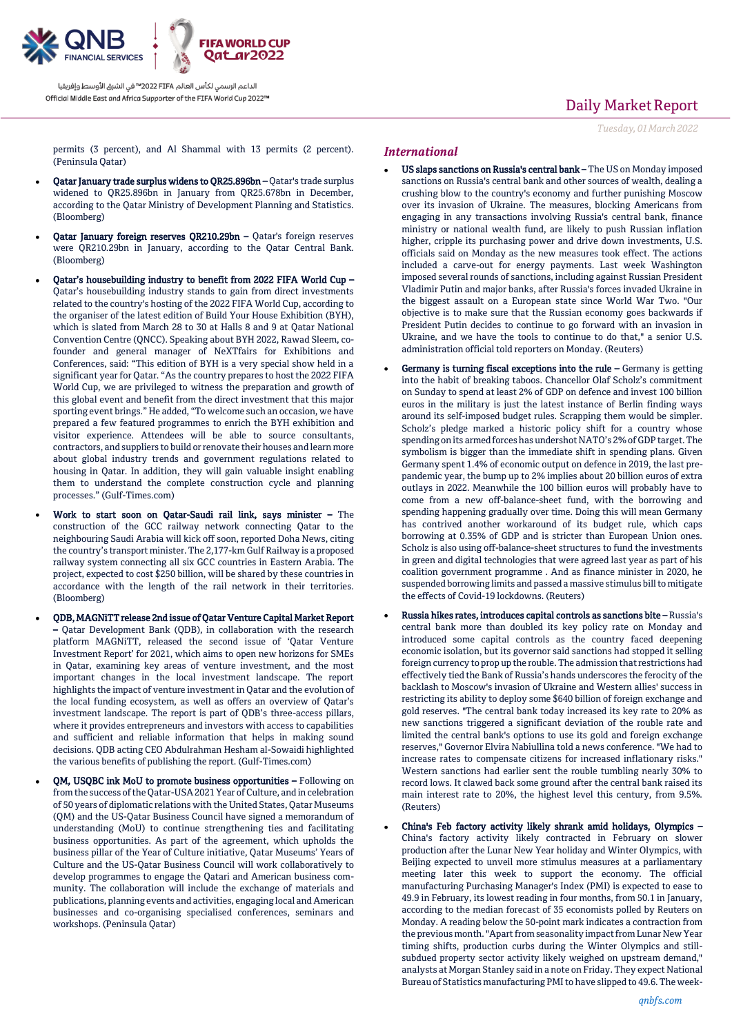

## Daily Market Report

*Tuesday, 01March2022*

permits (3 percent), and Al Shammal with 13 permits (2 percent). (Peninsula Qatar)

- Qatar January trade surplus widens to QR25.896bn Qatar's trade surplus widened to QR25.896bn in January from QR25.678bn in December, according to the Qatar Ministry of Development Planning and Statistics. (Bloomberg)
- Qatar January foreign reserves QR210.29bn Qatar's foreign reserves were QR210.29bn in January, according to the Qatar Central Bank. (Bloomberg)
- Qatar's housebuilding industry to benefit from 2022 FIFA World Cup Qatar's housebuilding industry stands to gain from direct investments related to the country's hosting of the 2022 FIFA World Cup, according to the organiser of the latest edition of Build Your House Exhibition (BYH), which is slated from March 28 to 30 at Halls 8 and 9 at Qatar National Convention Centre (QNCC). Speaking about BYH 2022, Rawad Sleem, cofounder and general manager of NeXTfairs for Exhibitions and Conferences, said: "This edition of BYH is a very special show held in a significant year for Qatar. "As the country prepares to host the 2022 FIFA World Cup, we are privileged to witness the preparation and growth of this global event and benefit from the direct investment that this major sporting event brings." He added, "To welcome such an occasion, we have prepared a few featured programmes to enrich the BYH exhibition and visitor experience. Attendees will be able to source consultants, contractors, and suppliers to build or renovate their houses and learn more about global industry trends and government regulations related to housing in Qatar. In addition, they will gain valuable insight enabling them to understand the complete construction cycle and planning processes." (Gulf-Times.com)
- Work to start soon on Qatar-Saudi rail link, says minister The construction of the GCC railway network connecting Qatar to the neighbouring Saudi Arabia will kick off soon, reported Doha News, citing the country's transport minister. The 2,177-km Gulf Railway is a proposed railway system connecting all six GCC countries in Eastern Arabia. The project, expected to cost \$250 billion, will be shared by these countries in accordance with the length of the rail network in their territories. (Bloomberg)
- QDB, MAGNiTT release 2nd issue of Qatar Venture Capital Market Report – Qatar Development Bank (QDB), in collaboration with the research platform MAGNiTT, released the second issue of 'Qatar Venture Investment Report' for 2021, which aims to open new horizons for SMEs in Qatar, examining key areas of venture investment, and the most important changes in the local investment landscape. The report highlights the impact of venture investment in Qatar and the evolution of the local funding ecosystem, as well as offers an overview of Qatar's investment landscape. The report is part of QDB's three-access pillars, where it provides entrepreneurs and investors with access to capabilities and sufficient and reliable information that helps in making sound decisions. QDB acting CEO Abdulrahman Hesham al-Sowaidi highlighted the various benefits of publishing the report. (Gulf-Times.com)
- QM, USQBC ink MoU to promote business opportunities Following on from the success of the Qatar-USA 2021 Year of Culture, and in celebration of 50 years of diplomatic relations with the United States, Qatar Museums (QM) and the US-Qatar Business Council have signed a memorandum of understanding (MoU) to continue strengthening ties and facilitating business opportunities. As part of the agreement, which upholds the business pillar of the Year of Culture initiative, Qatar Museums' Years of Culture and the US-Qatar Business Council will work collaboratively to develop programmes to engage the Qatari and American business community. The collaboration will include the exchange of materials and publications, planning events and activities, engaging local and American businesses and co-organising specialised conferences, seminars and workshops. (Peninsula Qatar)

#### *International*

- US slaps sanctions on Russia's central bank The US on Monday imposed sanctions on Russia's central bank and other sources of wealth, dealing a crushing blow to the country's economy and further punishing Moscow over its invasion of Ukraine. The measures, blocking Americans from engaging in any transactions involving Russia's central bank, finance ministry or national wealth fund, are likely to push Russian inflation higher, cripple its purchasing power and drive down investments, U.S. officials said on Monday as the new measures took effect. The actions included a carve-out for energy payments. Last week Washington imposed several rounds of sanctions, including against Russian President Vladimir Putin and major banks, after Russia's forces invaded Ukraine in the biggest assault on a European state since World War Two. "Our objective is to make sure that the Russian economy goes backwards if President Putin decides to continue to go forward with an invasion in Ukraine, and we have the tools to continue to do that," a senior U.S. administration official told reporters on Monday. (Reuters)
- Germany is turning fiscal exceptions into the rule Germany is getting into the habit of breaking taboos. Chancellor Olaf Scholz's commitment on Sunday to spend at least 2% of GDP on defence and invest 100 billion euros in the military is just the latest instance of Berlin finding ways around its self-imposed budget rules. Scrapping them would be simpler. Scholz's pledge marked a historic policy shift for a country whose spending on its armed forces has undershot NATO's 2% of GDP target. The symbolism is bigger than the immediate shift in spending plans. Given Germany spent 1.4% of economic output on defence in 2019, the last prepandemic year, the bump up to 2% implies about 20 billion euros of extra outlays in 2022. Meanwhile the 100 billion euros will probably have to come from a new off-balance-sheet fund, with the borrowing and spending happening gradually over time. Doing this will mean Germany has contrived another workaround of its budget rule, which caps borrowing at 0.35% of GDP and is stricter than European Union ones. Scholz is also using off-balance-sheet structures to fund the investments in green and digital technologies that were agreed last year as part of his coalition government programme . And as finance minister in 2020, he suspended borrowing limits and passed a massive stimulus bill to mitigate the effects of Covid-19 lockdowns. (Reuters)
- Russia hikes rates, introduces capital controls as sanctions bite Russia's central bank more than doubled its key policy rate on Monday and introduced some capital controls as the country faced deepening economic isolation, but its governor said sanctions had stopped it selling foreign currency to prop up the rouble. The admission that restrictions had effectively tied the Bank of Russia's hands underscores the ferocity of the backlash to Moscow's invasion of Ukraine and Western allies' success in restricting its ability to deploy some \$640 billion of foreign exchange and gold reserves. "The central bank today increased its key rate to 20% as new sanctions triggered a significant deviation of the rouble rate and limited the central bank's options to use its gold and foreign exchange reserves," Governor Elvira Nabiullina told a news conference. "We had to increase rates to compensate citizens for increased inflationary risks." Western sanctions had earlier sent the rouble tumbling nearly 30% to record lows. It clawed back some ground after the central bank raised its main interest rate to 20%, the highest level this century, from 9.5%. (Reuters)
- China's Feb factory activity likely shrank amid holidays, Olympics China's factory activity likely contracted in February on slower production after the Lunar New Year holiday and Winter Olympics, with Beijing expected to unveil more stimulus measures at a parliamentary meeting later this week to support the economy. The official manufacturing Purchasing Manager's Index (PMI) is expected to ease to 49.9 in February, its lowest reading in four months, from 50.1 in January, according to the median forecast of 35 economists polled by Reuters on Monday. A reading below the 50-point mark indicates a contraction from the previous month. "Apart from seasonality impact from Lunar New Year timing shifts, production curbs during the Winter Olympics and stillsubdued property sector activity likely weighed on upstream demand," analysts at Morgan Stanley said in a note on Friday. They expect National Bureau of Statistics manufacturing PMI to have slipped to 49.6. The week-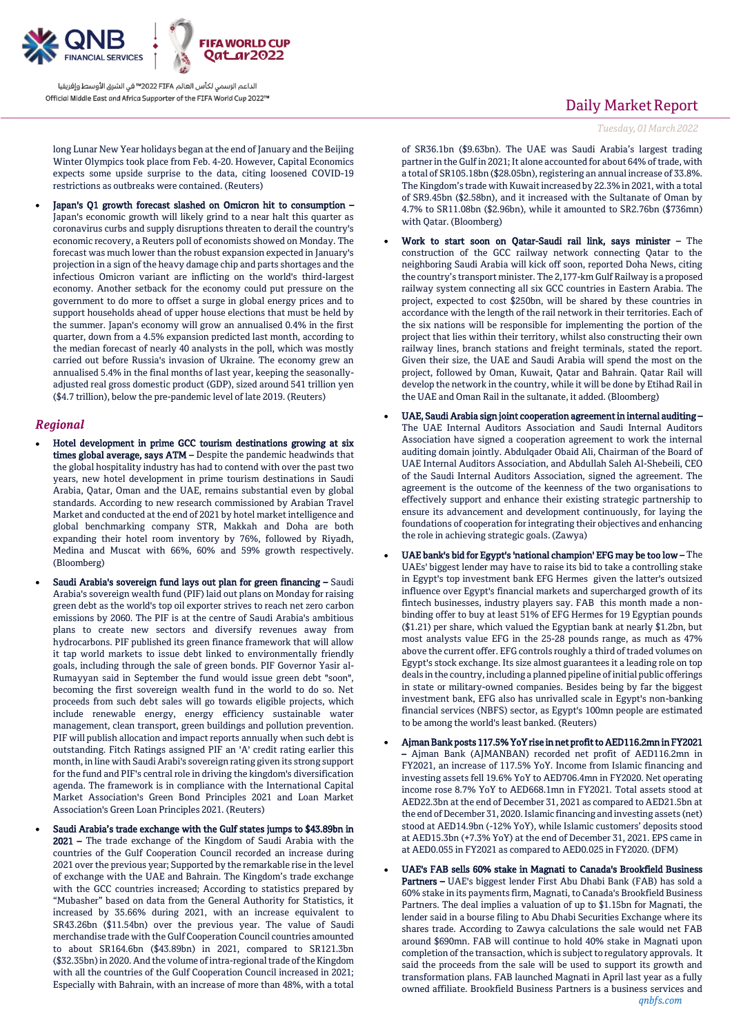

long Lunar New Year holidays began at the end of January and the Beijing Winter Olympics took place from Feb. 4-20. However, Capital Economics expects some upside surprise to the data, citing loosened COVID-19 restrictions as outbreaks were contained. (Reuters)

 Japan's Q1 growth forecast slashed on Omicron hit to consumption – Japan's economic growth will likely grind to a near halt this quarter as coronavirus curbs and supply disruptions threaten to derail the country's economic recovery, a Reuters poll of economists showed on Monday. The forecast was much lower than the robust expansion expected in January's projection in a sign of the heavy damage chip and parts shortages and the infectious Omicron variant are inflicting on the world's third-largest economy. Another setback for the economy could put pressure on the government to do more to offset a surge in global energy prices and to support households ahead of upper house elections that must be held by the summer. Japan's economy will grow an annualised 0.4% in the first quarter, down from a 4.5% expansion predicted last month, according to the median forecast of nearly 40 analysts in the poll, which was mostly carried out before Russia's invasion of Ukraine. The economy grew an annualised 5.4% in the final months of last year, keeping the seasonallyadjusted real gross domestic product (GDP), sized around 541 trillion yen (\$4.7 trillion), below the pre-pandemic level of late 2019. (Reuters)

### *Regional*

- Hotel development in prime GCC tourism destinations growing at six times global average, says ATM – Despite the pandemic headwinds that the global hospitality industry has had to contend with over the past two years, new hotel development in prime tourism destinations in Saudi Arabia, Qatar, Oman and the UAE, remains substantial even by global standards. According to new research commissioned by Arabian Travel Market and conducted at the end of 2021 by hotel market intelligence and global benchmarking company STR, Makkah and Doha are both expanding their hotel room inventory by 76%, followed by Riyadh, Medina and Muscat with 66%, 60% and 59% growth respectively. (Bloomberg)
- Saudi Arabia's sovereign fund lays out plan for green financing Saudi Arabia's sovereign wealth fund (PIF) laid out plans on Monday for raising green debt as the world's top oil exporter strives to reach net zero carbon emissions by 2060. The PIF is at the centre of Saudi Arabia's ambitious plans to create new sectors and diversify revenues away from hydrocarbons. PIF published its green finance framework that will allow it tap world markets to issue debt linked to environmentally friendly goals, including through the sale of green bonds. PIF Governor Yasir al-Rumayyan said in September the fund would issue green debt "soon", becoming the first sovereign wealth fund in the world to do so. Net proceeds from such debt sales will go towards eligible projects, which include renewable energy, energy efficiency sustainable water management, clean transport, green buildings and pollution prevention. PIF will publish allocation and impact reports annually when such debt is outstanding. Fitch Ratings assigned PIF an 'A' credit rating earlier this month, in line with Saudi Arabi's sovereign rating given its strong support for the fund and PIF's central role in driving the kingdom's diversification agenda. The framework is in compliance with the International Capital Market Association's Green Bond Principles 2021 and Loan Market Association's Green Loan Principles 2021. (Reuters)
- Saudi Arabia's trade exchange with the Gulf states jumps to \$43.89bn in 2021 – The trade exchange of the Kingdom of Saudi Arabia with the countries of the Gulf Cooperation Council recorded an increase during 2021 over the previous year; Supported by the remarkable rise in the level of exchange with the UAE and Bahrain. The Kingdom's trade exchange with the GCC countries increased; According to statistics prepared by "Mubasher" based on data from the General Authority for Statistics, it increased by 35.66% during 2021, with an increase equivalent to SR43.26bn (\$11.54bn) over the previous year. The value of Saudi merchandise trade with the Gulf Cooperation Council countries amounted to about SR164.6bn (\$43.89bn) in 2021, compared to SR121.3bn (\$32.35bn) in 2020. And the volume of intra-regional trade of the Kingdom with all the countries of the Gulf Cooperation Council increased in 2021; Especially with Bahrain, with an increase of more than 48%, with a total

## Daily Market Report

*Tuesday, 01March2022*

of SR36.1bn (\$9.63bn). The UAE was Saudi Arabia's largest trading partner in the Gulf in 2021; It alone accounted for about 64% of trade, with a total of SR105.18bn (\$28.05bn), registering an annual increase of 33.8%. The Kingdom's trade with Kuwait increased by 22.3% in 2021, with a total of SR9.45bn (\$2.58bn), and it increased with the Sultanate of Oman by 4.7% to SR11.08bn (\$2.96bn), while it amounted to SR2.76bn (\$736mn) with Qatar. (Bloomberg)

- Work to start soon on Qatar-Saudi rail link, says minister The construction of the GCC railway network connecting Qatar to the neighboring Saudi Arabia will kick off soon, reported Doha News, citing the country's transport minister. The 2,177-km Gulf Railway is a proposed railway system connecting all six GCC countries in Eastern Arabia. The project, expected to cost \$250bn, will be shared by these countries in accordance with the length of the rail network in their territories. Each of the six nations will be responsible for implementing the portion of the project that lies within their territory, whilst also constructing their own railway lines, branch stations and freight terminals, stated the report. Given their size, the UAE and Saudi Arabia will spend the most on the project, followed by Oman, Kuwait, Qatar and Bahrain. Qatar Rail will develop the network in the country, while it will be done by Etihad Rail in the UAE and Oman Rail in the sultanate, it added. (Bloomberg)
- UAE, Saudi Arabia sign joint cooperation agreement in internal auditing The UAE Internal Auditors Association and Saudi Internal Auditors Association have signed a cooperation agreement to work the internal auditing domain jointly. Abdulqader Obaid Ali, Chairman of the Board of UAE Internal Auditors Association, and Abdullah Saleh Al-Shebeili, CEO of the Saudi Internal Auditors Association, signed the agreement. The agreement is the outcome of the keenness of the two organisations to effectively support and enhance their existing strategic partnership to ensure its advancement and development continuously, for laying the foundations of cooperation for integrating their objectives and enhancing the role in achieving strategic goals. (Zawya)
- UAE bank's bid for Egypt's 'national champion' EFG may be too low The UAEs' biggest lender may have to raise its bid to take a controlling stake in Egypt's top investment bank EFG Hermes given the latter's outsized influence over Egypt's financial markets and supercharged growth of its fintech businesses, industry players say. FAB this month made a nonbinding offer to buy at least 51% of EFG Hermes for 19 Egyptian pounds (\$1.21) per share, which valued the Egyptian bank at nearly \$1.2bn, but most analysts value EFG in the 25-28 pounds range, as much as 47% above the current offer. EFG controls roughly a third of traded volumes on Egypt's stock exchange. Its size almost guarantees it a leading role on top deals in the country, including a planned pipeline of initial public offerings in state or military-owned companies. Besides being by far the biggest investment bank, EFG also has unrivalled scale in Egypt's non-banking financial services (NBFS) sector, as Egypt's 100mn people are estimated to be among the world's least banked. (Reuters)
- Ajman Bank posts 117.5% YoY rise in net profit to AED116.2mn in FY2021 – Ajman Bank (AJMANBAN) recorded net profit of AED116.2mn in FY2021, an increase of 117.5% YoY. Income from Islamic financing and investing assets fell 19.6% YoY to AED706.4mn in FY2020. Net operating income rose 8.7% YoY to AED668.1mn in FY2021. Total assets stood at AED22.3bn at the end of December 31, 2021 as compared to AED21.5bn at the end of December 31, 2020. Islamic financing and investing assets (net) stood at AED14.9bn (-12% YoY), while Islamic customers' deposits stood at AED15.3bn (+7.3% YoY) at the end of December 31, 2021. EPS came in at AED0.055 in FY2021 as compared to AED0.025 in FY2020. (DFM)
- *qnbfs.com* UAE's FAB sells 60% stake in Magnati to Canada's Brookfield Business Partners – UAE's biggest lender First Abu Dhabi Bank (FAB) has sold a 60% stake in its payments firm, Magnati, to Canada's Brookfield Business Partners. The deal implies a valuation of up to \$1.15bn for Magnati, the lender said in a bourse filing to Abu Dhabi Securities Exchange where its shares trade. According to Zawya calculations the sale would net FAB around \$690mn. FAB will continue to hold 40% stake in Magnati upon completion of the transaction, which is subject to regulatory approvals. It said the proceeds from the sale will be used to support its growth and transformation plans. FAB launched Magnati in April last year as a fully owned affiliate. Brookfield Business Partners is a business services and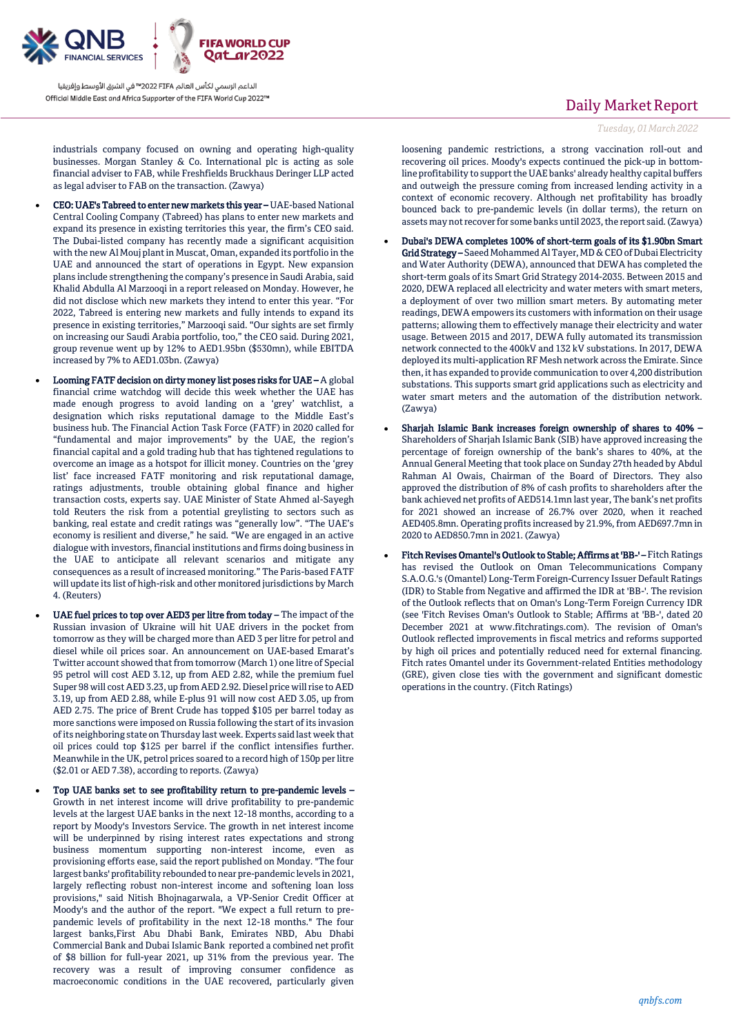

industrials company focused on owning and operating high-quality businesses. Morgan Stanley & Co. International plc is acting as sole financial adviser to FAB, while Freshfields Bruckhaus Deringer LLP acted as legal adviser to FAB on the transaction. (Zawya)

- CEO: UAE's Tabreed to enter new markets this year UAE-based National Central Cooling Company (Tabreed) has plans to enter new markets and expand its presence in existing territories this year, the firm's CEO said. The Dubai-listed company has recently made a significant acquisition with the new Al Mouj plant in Muscat, Oman, expanded its portfolio in the UAE and announced the start of operations in Egypt. New expansion plans include strengthening the company's presence in Saudi Arabia, said Khalid Abdulla Al Marzooqi in a report released on Monday. However, he did not disclose which new markets they intend to enter this year. "For 2022, Tabreed is entering new markets and fully intends to expand its presence in existing territories," Marzooqi said. "Our sights are set firmly on increasing our Saudi Arabia portfolio, too," the CEO said. During 2021, group revenue went up by 12% to AED1.95bn (\$530mn), while EBITDA increased by 7% to AED1.03bn. (Zawya)
- Looming FATF decision on dirty money list poses risks for UAE A global financial crime watchdog will decide this week whether the UAE has made enough progress to avoid landing on a 'grey' watchlist, a designation which risks reputational damage to the Middle East's business hub. The Financial Action Task Force (FATF) in 2020 called for "fundamental and major improvements" by the UAE, the region's financial capital and a gold trading hub that has tightened regulations to overcome an image as a hotspot for illicit money. Countries on the 'grey list' face increased FATF monitoring and risk reputational damage, ratings adjustments, trouble obtaining global finance and higher transaction costs, experts say. UAE Minister of State Ahmed al-Sayegh told Reuters the risk from a potential greylisting to sectors such as banking, real estate and credit ratings was "generally low". "The UAE's economy is resilient and diverse," he said. "We are engaged in an active dialogue with investors, financial institutions and firms doing business in the UAE to anticipate all relevant scenarios and mitigate any consequences as a result of increased monitoring." The Paris-based FATF will update its list of high-risk and other monitored jurisdictions by March 4. (Reuters)
- UAE fuel prices to top over AED3 per litre from today The impact of the Russian invasion of Ukraine will hit UAE drivers in the pocket from tomorrow as they will be charged more than AED 3 per litre for petrol and diesel while oil prices soar. An announcement on UAE-based Emarat's Twitter account showed that from tomorrow (March 1) one litre of Special 95 petrol will cost AED 3.12, up from AED 2.82, while the premium fuel Super 98 will cost AED 3.23, up from AED 2.92. Diesel price will rise to AED 3.19, up from AED 2.88, while E-plus 91 will now cost AED 3.05, up from AED 2.75. The price of Brent Crude has topped \$105 per barrel today as more sanctions were imposed on Russia following the start of its invasion of its neighboring state on Thursday last week. Experts said last week that oil prices could top \$125 per barrel if the conflict intensifies further. Meanwhile in the UK, petrol prices soared to a record high of 150p per litre (\$2.01 or AED 7.38), according to reports. (Zawya)
- Top UAE banks set to see profitability return to pre-pandemic levels Growth in net interest income will drive profitability to pre-pandemic levels at the largest UAE banks in the next 12-18 months, according to a report by Moody's Investors Service. The growth in net interest income will be underpinned by rising interest rates expectations and strong business momentum supporting non-interest income, even as provisioning efforts ease, said the report published on Monday. "The four largest banks' profitability rebounded to near pre-pandemic levels in 2021, largely reflecting robust non-interest income and softening loan loss provisions," said Nitish Bhojnagarwala, a VP-Senior Credit Officer at Moody's and the author of the report. "We expect a full return to prepandemic levels of profitability in the next 12-18 months." The four largest banks,First Abu Dhabi Bank, Emirates NBD, Abu Dhabi Commercial Bank and Dubai Islamic Bank reported a combined net profit of \$8 billion for full-year 2021, up 31% from the previous year. The recovery was a result of improving consumer confidence as macroeconomic conditions in the UAE recovered, particularly given

## Daily Market Report

#### *Tuesday, 01March2022*

loosening pandemic restrictions, a strong vaccination roll-out and recovering oil prices. Moody's expects continued the pick-up in bottomline profitability to support the UAE banks' already healthy capital buffers and outweigh the pressure coming from increased lending activity in a context of economic recovery. Although net profitability has broadly bounced back to pre-pandemic levels (in dollar terms), the return on assets may not recover for some banks until 2023, the report said. (Zawya)

- Dubai's DEWA completes 100% of short-term goals of its \$1.90bn Smart Grid Strategy - Saeed Mohammed Al Tayer, MD & CEO of Dubai Electricity and Water Authority (DEWA), announced that DEWA has completed the short-term goals of its Smart Grid Strategy 2014-2035. Between 2015 and 2020, DEWA replaced all electricity and water meters with smart meters, a deployment of over two million smart meters. By automating meter readings, DEWA empowers its customers with information on their usage patterns; allowing them to effectively manage their electricity and water usage. Between 2015 and 2017, DEWA fully automated its transmission network connected to the 400kV and 132 kV substations. In 2017, DEWA deployed its multi-application RF Mesh network across the Emirate. Since then, it has expanded to provide communication to over 4,200 distribution substations. This supports smart grid applications such as electricity and water smart meters and the automation of the distribution network. (Zawya)
- Sharjah Islamic Bank increases foreign ownership of shares to 40% Shareholders of Sharjah Islamic Bank (SIB) have approved increasing the percentage of foreign ownership of the bank's shares to 40%, at the Annual General Meeting that took place on Sunday 27th headed by Abdul Rahman Al Owais, Chairman of the Board of Directors. They also approved the distribution of 8% of cash profits to shareholders after the bank achieved net profits of AED514.1mn last year, The bank's net profits for 2021 showed an increase of 26.7% over 2020, when it reached AED405.8mn. Operating profits increased by 21.9%, from AED697.7mn in 2020 to AED850.7mn in 2021. (Zawya)
- Fitch Revises Omantel's Outlook to Stable; Affirms at 'BB-' Fitch Ratings has revised the Outlook on Oman Telecommunications Company S.A.O.G.'s (Omantel) Long-Term Foreign-Currency Issuer Default Ratings (IDR) to Stable from Negative and affirmed the IDR at 'BB-'. The revision of the Outlook reflects that on Oman's Long-Term Foreign Currency IDR (see 'Fitch Revises Oman's Outlook to Stable; Affirms at 'BB-', dated 20 December 2021 at www.fitchratings.com). The revision of Oman's Outlook reflected improvements in fiscal metrics and reforms supported by high oil prices and potentially reduced need for external financing. Fitch rates Omantel under its Government-related Entities methodology (GRE), given close ties with the government and significant domestic operations in the country. (Fitch Ratings)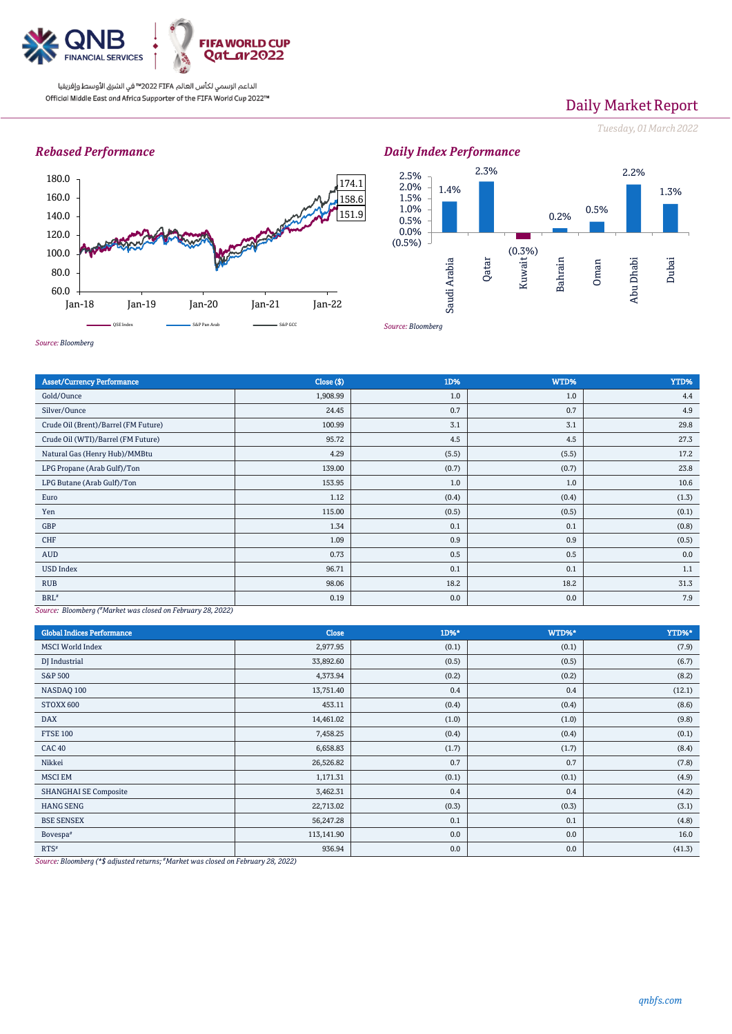

# Daily Market Report

*Tuesday, 01March2022*

## *Rebased Performance*





*Source: Bloomberg*

| <b>Asset/Currency Performance</b>                           | Close ( \$) | 1D%   | WTD%  | YTD%  |  |
|-------------------------------------------------------------|-------------|-------|-------|-------|--|
| Gold/Ounce                                                  | 1,908.99    | 1.0   | 1.0   | 4.4   |  |
| Silver/Ounce                                                | 24.45       | 0.7   | 0.7   | 4.9   |  |
| Crude Oil (Brent)/Barrel (FM Future)                        | 100.99      | 3.1   | 3.1   | 29.8  |  |
| Crude Oil (WTI)/Barrel (FM Future)                          | 95.72       | 4.5   | 4.5   | 27.3  |  |
| Natural Gas (Henry Hub)/MMBtu                               | 4.29        | (5.5) | (5.5) | 17.2  |  |
| LPG Propane (Arab Gulf)/Ton                                 | 139.00      | (0.7) | (0.7) | 23.8  |  |
| LPG Butane (Arab Gulf)/Ton                                  | 153.95      | 1.0   | 1.0   | 10.6  |  |
| Euro                                                        | 1.12        | (0.4) | (0.4) | (1.3) |  |
| Yen                                                         | 115.00      | (0.5) | (0.5) | (0.1) |  |
| GBP                                                         | 1.34        | 0.1   | 0.1   | (0.8) |  |
| CHF                                                         | 1.09        | 0.9   | 0.9   | (0.5) |  |
| AUD                                                         | 0.73        | 0.5   | 0.5   | 0.0   |  |
| <b>USD Index</b>                                            | 96.71       | 0.1   | 0.1   | 1.1   |  |
| <b>RUB</b>                                                  | 98.06       | 18.2  | 18.2  | 31.3  |  |
| $BRL^*$                                                     | 0.19        | 0.0   | 0.0   | 7.9   |  |
| Source: Bloombarg (#Marbot was closed on Fohrwary 28, 2022) |             |       |       |       |  |

*Source: Bloomberg ( #Market was closed on February 28, 2022)*

| <b>Global Indices Performance</b> | <b>Close</b> | 1D%*  | WTD%* | YTD%*  |
|-----------------------------------|--------------|-------|-------|--------|
| <b>MSCI</b> World Index           | 2,977.95     | (0.1) | (0.1) | (7.9)  |
| DJ Industrial                     | 33,892.60    | (0.5) | (0.5) | (6.7)  |
| <b>S&amp;P 500</b>                | 4,373.94     | (0.2) | (0.2) | (8.2)  |
| NASDAQ 100                        | 13,751.40    | 0.4   | 0.4   | (12.1) |
| STOXX 600                         | 453.11       | (0.4) | (0.4) | (8.6)  |
| <b>DAX</b>                        | 14,461.02    | (1.0) | (1.0) | (9.8)  |
| <b>FTSE 100</b>                   | 7,458.25     | (0.4) | (0.4) | (0.1)  |
| <b>CAC 40</b>                     | 6,658.83     | (1.7) | (1.7) | (8.4)  |
| Nikkei                            | 26,526.82    | 0.7   | 0.7   | (7.8)  |
| <b>MSCI EM</b>                    | 1,171.31     | (0.1) | (0.1) | (4.9)  |
| <b>SHANGHAI SE Composite</b>      | 3,462.31     | 0.4   | 0.4   | (4.2)  |
| <b>HANG SENG</b>                  | 22,713.02    | (0.3) | (0.3) | (3.1)  |
| <b>BSE SENSEX</b>                 | 56,247.28    | 0.1   | 0.1   | (4.8)  |
| Bovespa <sup>#</sup>              | 113,141.90   | 0.0   | 0.0   | 16.0   |
| $RTS^*$                           | 936.94       | 0.0   | 0.0   | (41.3) |

*Source: Bloomberg (\*\$ adjusted returns; #Market was closed on February 28, 2022)*